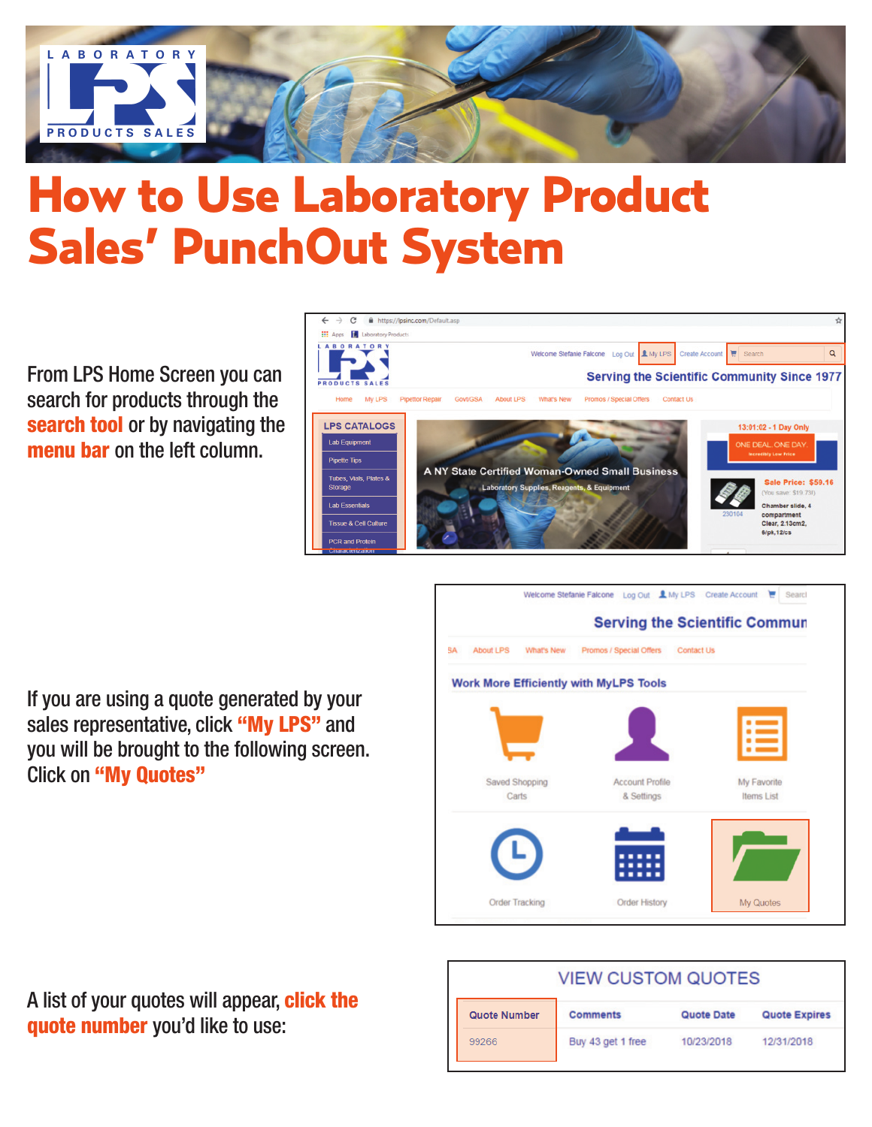

# How to Use Laboratory Product Sales' PunchOut System

From LPS Home Screen you can search for products through the **search tool** or by navigating the **menu bar** on the left column.



If you are using a quote generated by your sales representative, click **"My LPS"** and you will be brought to the following screen. Click on **"My Quotes"**



A list of your quotes will appear, **click the quote number** you'd like to use:

| <b>VIEW CUSTOM QUOTES</b> |                   |            |                      |  |  |  |
|---------------------------|-------------------|------------|----------------------|--|--|--|
| Quote Number              | <b>Comments</b>   | Quote Date | <b>Quote Expires</b> |  |  |  |
| 99266                     | Buy 43 get 1 free | 10/23/2018 | 12/31/2018           |  |  |  |